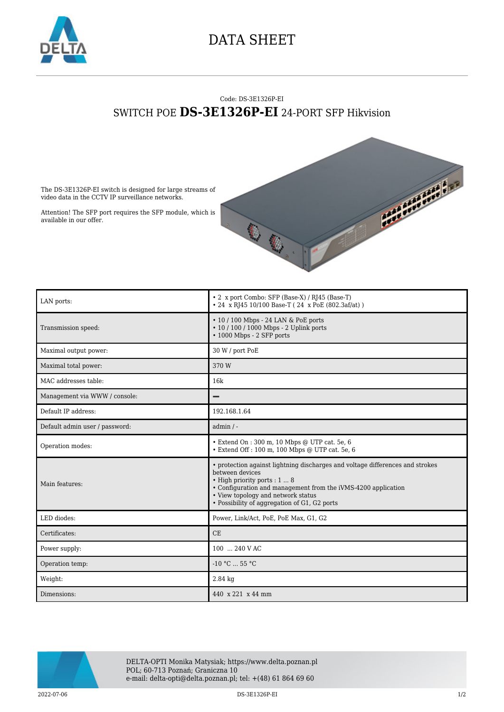

## DATA SHEET

## Code: DS-3E1326P-EI SWITCH POE **DS-3E1326P-EI** 24-PORT SFP Hikvision



The DS-3E1326P-EI switch is designed for large streams of video data in the CCTV IP surveillance networks.

Attention! The SFP port requires the SFP module, which is available in our offer.

| LAN ports:                     | • 2 x port Combo: SFP (Base-X) / RJ45 (Base-T)<br>• 24 x RJ45 10/100 Base-T (24 x PoE (802.3af/at))                                                                                                                                                                                     |
|--------------------------------|-----------------------------------------------------------------------------------------------------------------------------------------------------------------------------------------------------------------------------------------------------------------------------------------|
| Transmission speed:            | $\cdot$ 10 / 100 Mbps - 24 LAN & PoE ports<br>• 10 / 100 / 1000 Mbps - 2 Uplink ports<br>$\cdot$ 1000 Mbps - 2 SFP ports                                                                                                                                                                |
| Maximal output power:          | 30 W / port PoE                                                                                                                                                                                                                                                                         |
| Maximal total power:           | 370 W                                                                                                                                                                                                                                                                                   |
| MAC addresses table:           | 16k                                                                                                                                                                                                                                                                                     |
| Management via WWW / console:  |                                                                                                                                                                                                                                                                                         |
| Default IP address:            | 192.168.1.64                                                                                                                                                                                                                                                                            |
| Default admin user / password: | $admin / -$                                                                                                                                                                                                                                                                             |
| Operation modes:               | • Extend On : 300 m, 10 Mbps @ UTP cat. 5e, 6<br>• Extend Off : 100 m, 100 Mbps @ UTP cat. 5e, 6                                                                                                                                                                                        |
| Main features:                 | • protection against lightning discharges and voltage differences and strokes<br>between devices<br>· High priority ports : 1  8<br>• Configuration and management from the iVMS-4200 application<br>• View topology and network status<br>• Possibility of aggregation of G1, G2 ports |
| LED diodes:                    | Power, Link/Act, PoE, PoE Max, G1, G2                                                                                                                                                                                                                                                   |
| Certificates:                  | CE                                                                                                                                                                                                                                                                                      |
| Power supply:                  | 100  240 V AC                                                                                                                                                                                                                                                                           |
| Operation temp:                | $-10 °C$ 55 °C                                                                                                                                                                                                                                                                          |
| Weight:                        | $2.84$ kg                                                                                                                                                                                                                                                                               |
| Dimensions:                    | 440 x 221 x 44 mm                                                                                                                                                                                                                                                                       |



DELTA-OPTI Monika Matysiak; https://www.delta.poznan.pl POL; 60-713 Poznań; Graniczna 10 e-mail: delta-opti@delta.poznan.pl; tel: +(48) 61 864 69 60

2022-07-06 **DS-3E1326P-EI** 2022-07-06 **1/2**